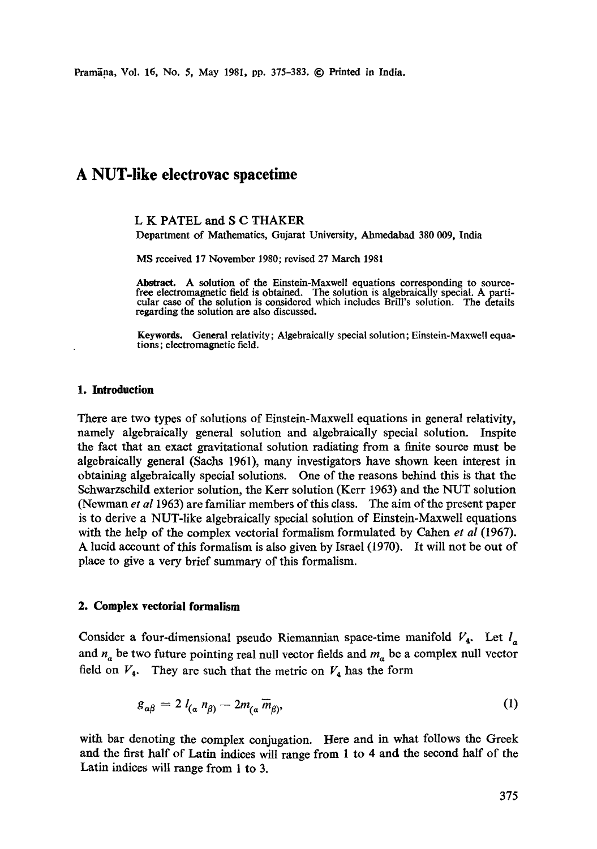Pramāna, Vol. 16, No. 5, May 1981, pp. 375-383. © Printed in India.

# **A NUT-like electrovac spacetime**

# L K PATEL and S C THAKER

Department of Mathematics, Gujarat University, Ahmedabad 380 009, India

MS received 17 November 1980; revised 27 March 1981

Abstract. A solution of the Einstein-Maxwell equations corresponding to source-free electromagnetic field is obtained. The solution is algebraically special. A particular case of the solution is considered which includes Brill's solution. The details regarding the solution are also discussed.

**Keywords.** General relativity; Algebraically special solution; Einstein-Maxwell equations; electromagnetic field.

#### **1. Introduction**

There are two types of solutions of Einstein-Maxwell equations in general relativity, namely algebraically general solution and algebraically special solution. Inspite the fact that an exact gravitational solution radiating from a finite source must be algebraically general (Sachs 1961), many investigators have shown keen interest in obtaining algebraically special solutions. One of the reasons behind this is that the Schwarzsehild exterior solution, the Kerr solution (Kerr 1963) and the NUT solution (Newman *et al* 1963) are familiar members of this class. The aim of the present paper is to derive a NUT-like algebraically special solution of Einstein-Maxwell equations with the help of the complex vectorial formalism formulated by Cahen *et al* (1967). A lucid account of this formalism is also given by Israel (1970). It will not be out of place to give a very brief summary of this formalism.

#### **2. Complex vectorial formalism**

Consider a four-dimensional pseudo Riemannian space-time manifold  $V_4$ . Let  $I_a$ and  $n_a$  be two future pointing real null vector fields and  $m_a$  be a complex null vector field on  $V_4$ . They are such that the metric on  $V_4$  has the form

$$
g_{\alpha\beta} = 2 l_{(a} n_{\beta)} - 2m_{(a} \overline{m}_{\beta)}, \tag{1}
$$

with bar denoting the complex conjugation. Here and in what follows the Greek and the first half of Latin indices will range from 1 to 4 and the second half of the Latin indices will range from 1 to 3.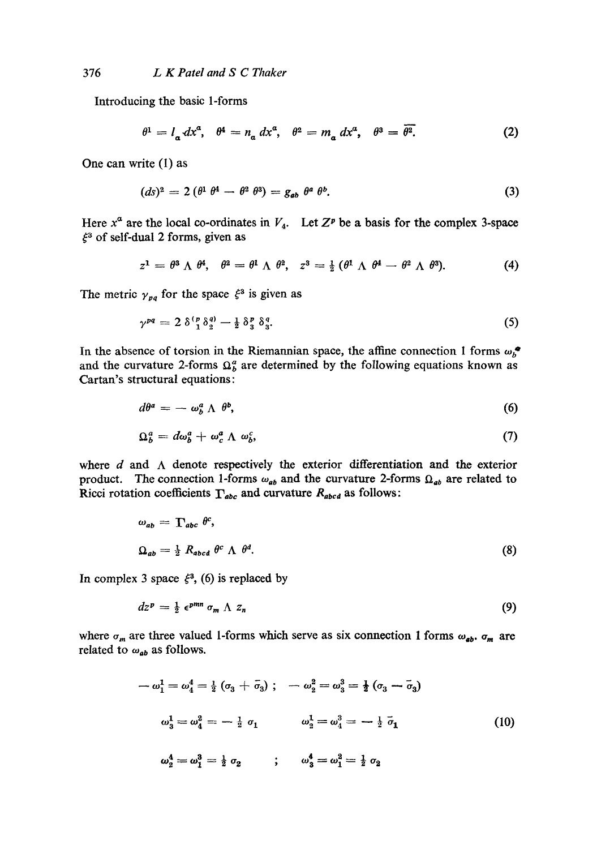Introducing the basic 1-forms

$$
\theta^1 = l_a dx^a, \quad \theta^4 = n_a dx^a, \quad \theta^2 = m_a dx^a, \quad \theta^3 = \overline{\theta^2}.
$$
 (2)

One can write (1) as

$$
(ds)^2 = 2(\theta^1 \theta^4 - \theta^2 \theta^3) = g_{ab} \theta^a \theta^b. \tag{3}
$$

Here  $x^a$  are the local co-ordinates in  $V_4$ . Let  $Z^p$  be a basis for the complex 3-space  $\xi^3$  of self-dual 2 forms, given as

$$
z^1 = \theta^3 \wedge \theta^4, \quad \theta^2 = \theta^1 \wedge \theta^2, \quad z^3 = \frac{1}{2} (\theta^1 \wedge \theta^4 - \theta^2 \wedge \theta^3). \tag{4}
$$

The metric  $\gamma_{pq}$  for the space  $\xi^3$  is given as

$$
\gamma^{pq} = 2 \delta^{(p)}_1 \delta^{q)}_2 - \frac{1}{2} \delta^{p}_3 \delta^{q}_3. \tag{5}
$$

In the absence of torsion in the Riemannian space, the affine connection 1 forms  $\omega_{b}^{\bullet}$ and the curvature 2-forms  $\Omega_b^a$  are determined by the following equations known as Cartan's structural equations:

$$
d\theta^a = -\omega_b^a \wedge \theta^b, \qquad (6)
$$

$$
\Omega_b^a = d\omega_b^a + \omega_c^a \Lambda \omega_b^c, \qquad (7)
$$

where  $d$  and  $\Lambda$  denote respectively the exterior differentiation and the exterior product. The connection 1-forms  $\omega_{ab}$  and the curvature 2-forms  $\Omega_{ab}$  are related to Ricci rotation coefficients  $\Gamma_{abc}$  and curvature  $R_{abcd}$  as follows:

$$
\omega_{ab} = \Gamma_{abc} \theta^c,
$$
  
\n
$$
\Omega_{ab} = \frac{1}{2} R_{abcd} \theta^c \Lambda \theta^d.
$$
 (8)

In complex 3 space  $\xi^3$ , (6) is replaced by

$$
dz^p = \frac{1}{2} \epsilon^{pmn} \sigma_m \Lambda z_n \tag{9}
$$

where  $\sigma_m$  are three valued 1-forms which serve as six connection 1 forms  $\omega_{ab}$ ,  $\sigma_m$  are related to  $\omega_{ab}$  as follows.

$$
-\omega_1^1 = \omega_4^4 = \frac{1}{2} (\sigma_3 + \bar{\sigma}_3); \quad -\omega_2^2 = \omega_3^3 = \frac{1}{2} (\sigma_3 - \bar{\sigma}_3)
$$

$$
\omega_3^1 = \omega_4^2 = -\frac{1}{2} \sigma_1 \qquad \omega_2^1 = \omega_4^3 = -\frac{1}{2} \bar{\sigma}_1 \qquad (10)
$$

$$
\omega_2^4 = \omega_1^3 = \frac{1}{2} \sigma_2 \qquad ; \quad \omega_3^4 = \omega_1^2 = \frac{1}{2} \sigma_2
$$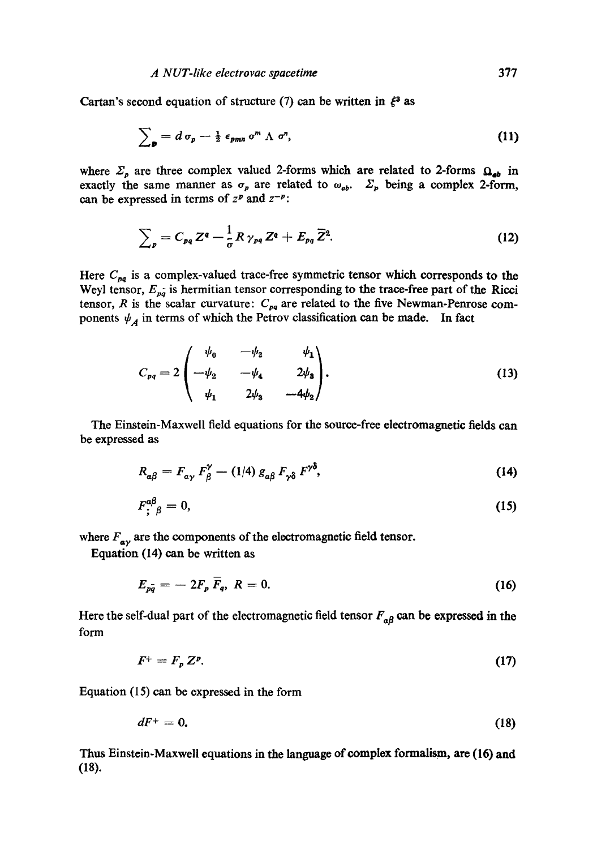Cartan's second equation of structure (7) can be written in  $\xi^3$  as

$$
\sum_{\mathbf{p}} = d \sigma_{\mathbf{p}} - \frac{1}{2} \epsilon_{\mathbf{p}mn} \sigma^m \Lambda \sigma^n, \qquad (11)
$$

where  $\Sigma_p$  are three complex valued 2-forms which are related to 2-forms  $\Omega_{ab}$  in exactly the same manner as  $\sigma_p$  are related to  $\omega_{ab}$ .  $\Sigma_p$  being a complex 2-form, can be expressed in terms of  $z^p$  and  $z^{-p}$ :

$$
\sum_{p} = C_{pq} Z^q - \frac{1}{\sigma} R \gamma_{pq} Z^q + E_{pq} \overline{Z}^2.
$$
 (12)

Here  $C_{pq}$  is a complex-valued trace-free symmetric tensor which corresponds to the Weyl tensor,  $E_{p\hat{q}}$  is hermitian tensor corresponding to the trace-free part of the Ricci tensor, R is the scalar curvature:  $C_{pq}$  are related to the five Newman-Penrose components  $\psi_A$  in terms of which the Petrov classification can be made. In fact

$$
C_{pq} = 2\begin{pmatrix} \psi_0 & -\psi_2 & \psi_1 \\ -\psi_2 & -\psi_4 & 2\psi_3 \\ \psi_1 & 2\psi_3 & -4\psi_2 \end{pmatrix}.
$$
 (13)

The Einstein-Maxwell field equations for the source-free electromagnetic fields can be expressed as

$$
R_{\alpha\beta} = F_{\alpha\gamma} F_{\beta}^{\gamma} - (1/4) g_{\alpha\beta} F_{\gamma\delta} F^{\gamma\delta}, \qquad (14)
$$

$$
F_{\mathbf{i}}^{\alpha\beta}{}_{\beta}=0,\tag{15}
$$

where  $F_{\alpha\gamma}$  are the components of the electromagnetic field tensor.

Equation (14) can be written as

$$
E_{p\bar{q}} = -2F_p \overline{F}_q, \ R = 0. \tag{16}
$$

Here the self-dual part of the electromagnetic field tensor  $F_{a\beta}$  can be expressed in the form

$$
F^+ = F_p Z^p. \tag{17}
$$

Equation  $(15)$  can be expressed in the form

$$
dF^+ = 0. \tag{18}
$$

Thus Einstein-Maxwell equations in the language of complex formalism, are (16) and (18).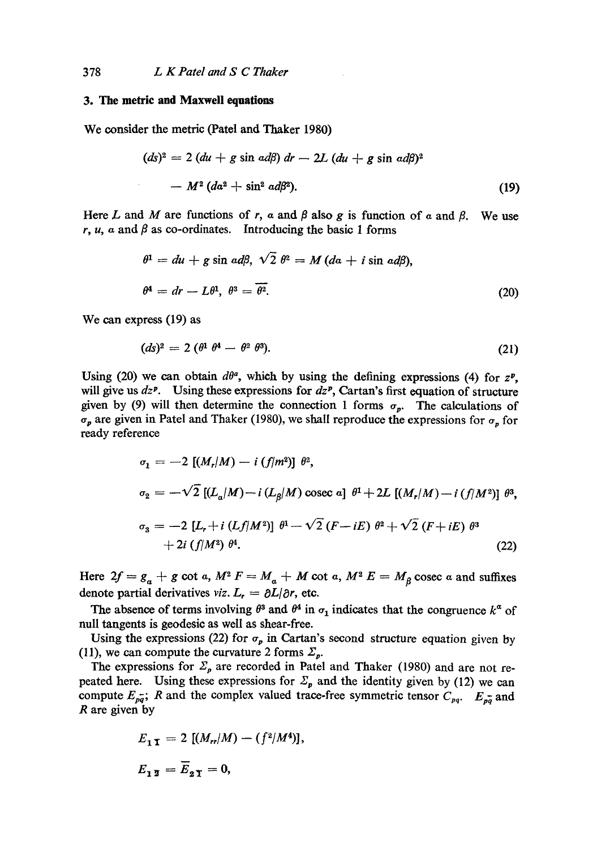# **3. The metric and Maxwell equations**

We consider the metric (Patel and Thaker 1980)

$$
(ds)^2 = 2 (du + g \sin ad\beta) dr - 2L (du + g \sin ad\beta)^2
$$

$$
- M^2 (da^2 + \sin^2 ad\beta^2). \tag{19}
$$

Here L and M are functions of r,  $\alpha$  and  $\beta$  also g is function of  $\alpha$  and  $\beta$ . We use r, u, a and  $\beta$  as co-ordinates. Introducing the basic 1 forms

$$
\theta^1 = du + g \sin a d\beta, \sqrt{2} \theta^2 = M (da + i \sin a d\beta),
$$
  

$$
\theta^4 = dr - L\theta^1, \ \theta^3 = \overline{\theta^2}.
$$
 (20)

We can express (19) as

$$
(ds)^2 = 2\left(\theta^1 \ \theta^4 - \theta^2 \ \theta^3\right). \tag{21}
$$

Using (20) we can obtain  $d\theta^a$ , which by using the defining expressions (4) for  $z^p$ , will give us  $dz^p$ . Using these expressions for  $dz^p$ , Cartan's first equation of structure given by (9) will then determine the connection 1 forms  $\sigma_p$ . The calculations of  $\sigma_p$  are given in Patel and Thaker (1980), we shall reproduce the expressions for  $\sigma_p$  for ready reference

$$
\sigma_1 = -2 [(M_r/M) - i (f/m^2)] \theta^2,
$$
  
\n
$$
\sigma_2 = -\sqrt{2} [(L_a/M) - i (L_\beta/M) \csc a] \theta^1 + 2L [(M_r/M) - i (f/M^2)] \theta^3,
$$
  
\n
$$
\sigma_3 = -2 [L_r + i (Lf/M^2)] \theta^1 - \sqrt{2} (F - iE) \theta^2 + \sqrt{2} (F + iE) \theta^3
$$
  
\n+ 2i (f/M^2) \theta^4. (22)

Here  $2f = g_a + g$  cot a,  $M^2 F = M_a + M$  cot a,  $M^2 E = M_g$  cosec a and suffixes denote partial derivatives *viz.*  $L_r = \partial L/\partial r$ , etc.

The absence of terms involving  $\theta^3$  and  $\theta^4$  in  $\sigma_1$  indicates that the congruence  $k^{\alpha}$  of null tangents is geodesic as well as shear-free.

Using the expressions (22) for  $\sigma_p$  in Cartan's second structure equation given by (11), we can compute the curvature 2 forms  $\Sigma_p$ .

The expressions for  $\Sigma_p$  are recorded in Patel and Thaker (1980) and are not repeated here. Using these expressions for  $\Sigma_p$  and the identity given by (12) we can compute  $E_{pq}$ ; R and the complex valued trace-free symmetric tensor  $C_{pq}$ .  $E_{pq}$  and R are given by

$$
E_{1\,\mathbf{I}} = 2 \left[ (M_n/M) - (f^2/M^4) \right],
$$
  

$$
E_{1\,\mathbf{I}} = \overline{E}_{2\,\mathbf{I}} = 0,
$$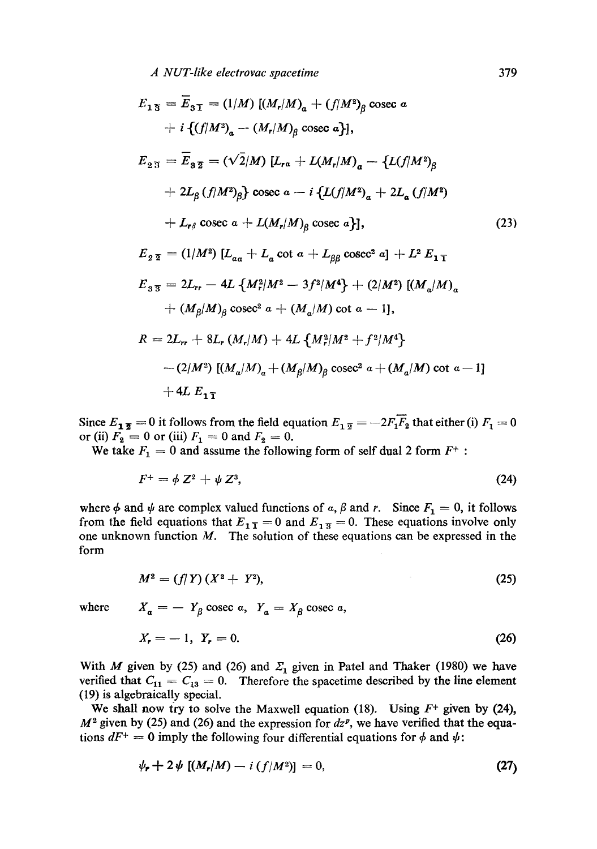$$
E_{13} = \overline{E}_{31} = (1/M) [(M_r/M)_a + (f/M^2)_\beta \csc a + i \{(f/M^2)_a - (M_r/M)_\beta \csc a \},
$$
  
\n
$$
E_{23} = \overline{E}_{32} = (\sqrt{2}/M) [L_{ra} + L(M_r/M)_a - \{L(f/M^2)_\beta
$$
  
\n
$$
+ 2L_\beta (f/M^2)_\beta \} \csc a - i \{L(f/M^2)_a + 2L_a (f/M^2) + L_{r\beta} \csc a + L(M_r/M)_\beta \csc a \},
$$
  
\n
$$
E_{22} = (1/M^2) [L_{aa} + L_a \cot a + L_{\beta\beta} \csc^2 a] + L^2 E_{11}
$$
  
\n
$$
E_{33} = 2L_{rr} - 4L \{M_r^2/M^2 - 3f^2/M^4\} + (2/M^2) [(M_a/M)_a + (M_\beta/M)_\beta \csc^2 a + (M_a/M) \cot a - 1],
$$
  
\n
$$
R = 2L_{rr} + 8L_r (M_r/M) + 4L \{M_r^2/M^2 + f^2/M^4\} - (2/M^2) [(M_a/M)_a + (M_\beta/M)_a + (M_\beta/M)_a \csc^2 a + (M_a/M) \cot a - 1]
$$
  
\n
$$
+ 4L E_{11}
$$

Since  $E_1$ <sub>2</sub> = 0 it follows from the field equation  $E_1$ <sub>2</sub> = -2 $F_1$  $\overline{F_2}$  that either (i)  $F_1$  = 0 or (ii)  $F_2 = 0$  or (iii)  $F_1 = 0$  and  $F_2 = 0$ .

We take  $F_1 = 0$  and assume the following form of self dual 2 form  $F^+$ :

$$
F^+ = \phi Z^2 + \psi Z^3, \tag{24}
$$

where  $\phi$  and  $\psi$  are complex valued functions of a,  $\beta$  and r. Since  $F_1 = 0$ , it follows from the field equations that  $E_{1\bar{1}} = 0$  and  $E_{1\bar{3}} = 0$ . These equations involve only one unknown function  $M$ . The solution of these equations can be expressed in the form

$$
M^2 = (f/Y)(X^2 + Y^2), \tag{25}
$$

where  $X_a = -Y_\beta$  cosec a,  $Y_a = X_\beta$  cosec a,

$$
X_r = -1, \ Y_r = 0. \tag{26}
$$

With M given by (25) and (26) and  $\Sigma_1$  given in Patel and Thaker (1980) we have verified that  $C_{11} = C_{13} = 0$ . Therefore the spacetime described by the line element (19) is algebraically special.

We shall now try to solve the Maxwell equation (18). Using  $F^+$  given by (24),  $M^2$  given by (25) and (26) and the expression for  $dz^p$ , we have verified that the equations  $dF^+ = 0$  imply the following four differential equations for  $\phi$  and  $\psi$ :

$$
\psi_{\mathbf{r}} + 2\psi \left[ (M_{\mathbf{r}}/M) - i \left( f/M^2 \right) \right] = 0, \tag{27}
$$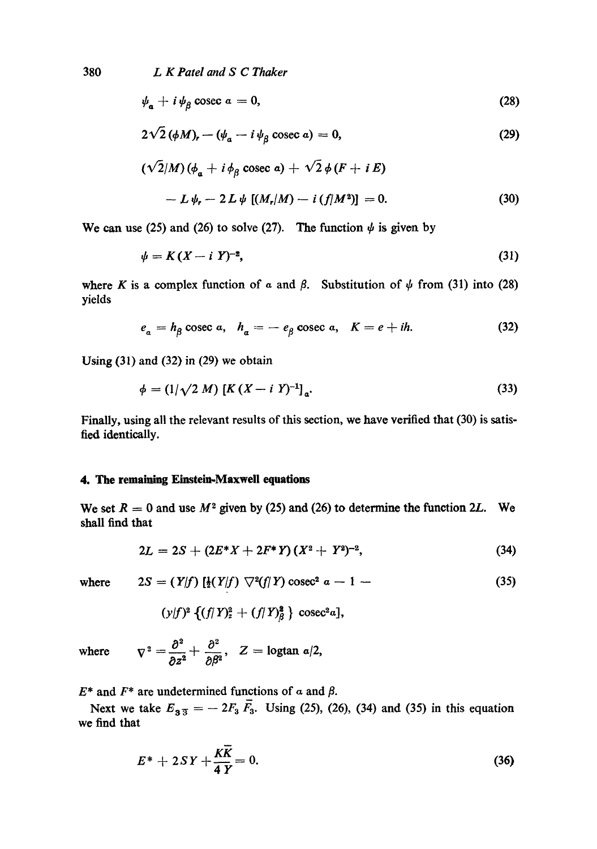380 *L K Patel and S C Thaker* 

$$
\psi_{\mathbf{a}} + i \psi_{\beta} \csc a = 0, \tag{28}
$$

$$
2\sqrt{2} \left(\phi M\right)_r - \left(\psi_a - i\psi_\beta\right) \csc a\right) = 0,\tag{29}
$$

$$
(\sqrt{2}/M)(\phi_a + i\phi_\beta \csc a) + \sqrt{2}\phi(F + iE)
$$
  
-  $L\psi_r - 2L\psi[(M_r/M) - i(f/M^2)] = 0.$  (30)

We can use (25) and (26) to solve (27). The function  $\psi$  is given by

$$
\psi = K(X - i Y)^{-2},\tag{31}
$$

where K is a complex function of  $\alpha$  and  $\beta$ . Substitution of  $\psi$  from (31) into (28) yields

$$
e_a = h_\beta \csc a, \quad h_a = -e_\beta \csc a, \quad K = e + ih. \tag{32}
$$

Using  $(31)$  and  $(32)$  in  $(29)$  we obtain

$$
\phi = (1/\sqrt{2} M) \left[ K \left( X - i Y \right)^{-1} \right]_{a}.
$$
\n(33)

Finally, using all the relevant results of this section, we have verified that (30) is satisfied identically.

## **4. The remaining Einstein-Maxwdl equations**

We set  $R = 0$  and use  $M^2$  given by (25) and (26) to determine the function 2L. We shall find that

$$
2L = 2S + (2E^*X + 2F^*Y)(X^2 + Y^2)^{-2}, \qquad (34)
$$

where 
$$
2S = (Y|f) [\frac{1}{2}(Y|f) \nabla^2(f|Y) \csc^2 a - 1 -
$$
 (35)

$$
(y/f)^2 \{ (f/T)^2 + (f/T)^2\}
$$
 cosec<sup>2</sup>a],

where  $\nabla^2 = \frac{\partial^2}{\partial z^2} + \frac{\partial^2}{\partial \beta^2}$ ,  $Z = \text{logtan } \alpha/2$ ,

 $E^*$  and  $F^*$  are undetermined functions of a and  $\beta$ .

Next we take  $E_{3,3} = -2F_3 F_3$ . Using (25), (26), (34) and (35) in this equation we find that

$$
E^* + 2SY + \frac{K\overline{K}}{4Y} = 0. \tag{36}
$$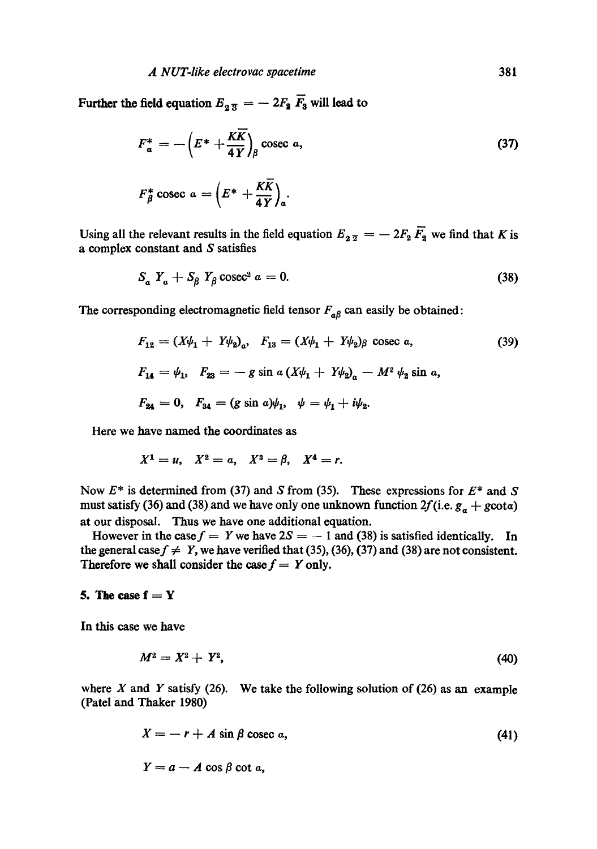Further the field equation  $E_{\alpha 3} = -2F_2 \overline{F}_3$  will lead to

$$
F_a^* = -\left(E^* + \frac{K\overline{K}}{4Y}\right)_{\beta} \text{cosec } a,
$$
\n
$$
F_a^* \text{cosec } a = \left(E^* + \frac{K\overline{K}}{77}\right).
$$
\n(37)

Using all the relevant results in the field equation  $E_{2\bar{2}} = -2F_2\bar{F}_2$  we find that K is a complex constant and S satisfies

$$
S_a Y_a + S_\beta Y_\beta \csc^2 a = 0. \tag{38}
$$

The corresponding electromagnetic field tensor  $F_{a\beta}$  can easily be obtained:

$$
F_{12} = (X\psi_1 + Y\psi_2)_a, \quad F_{13} = (X\psi_1 + Y\psi_2)_\beta \text{ cosec } a,
$$
 (39)  

$$
F_{14} = \psi_1, \quad F_{23} = -g \sin a (X\psi_1 + Y\psi_2)_a - M^2 \psi_2 \sin a,
$$
  

$$
F_{24} = 0, \quad F_{34} = (g \sin a)\psi_1, \quad \psi = \psi_1 + i\psi_2.
$$

Here we have named the coordinates as

$$
X^1 = u, \quad X^2 = a, \quad X^3 = \beta, \quad X^4 = r.
$$

Now  $E^*$  is determined from (37) and S from (35). These expressions for  $E^*$  and S must satisfy (36) and (38) and we have only one unknown function  $2f(i.e. g_{\alpha} + g \cot \alpha)$ at our disposal. Thus we have one additional equation.

However in the case  $f = Y$  we have  $2S = -1$  and (38) is satisfied identically. In the general case  $f \neq Y$ , we have verified that (35), (36), (37) and (38) are not consistent. Therefore we shall consider the case  $f = Y$  only.

#### 5. The case  $f = Y$

In this case we have

$$
M^2 = X^2 + Y^2, \tag{40}
$$

where X and Y satisfy (26). We take the following solution of (26) as an example (Patel and Thaker 1980)

$$
X = -r + A \sin \beta \csc a, \tag{41}
$$

$$
Y=a-A\cos\beta\cot a,
$$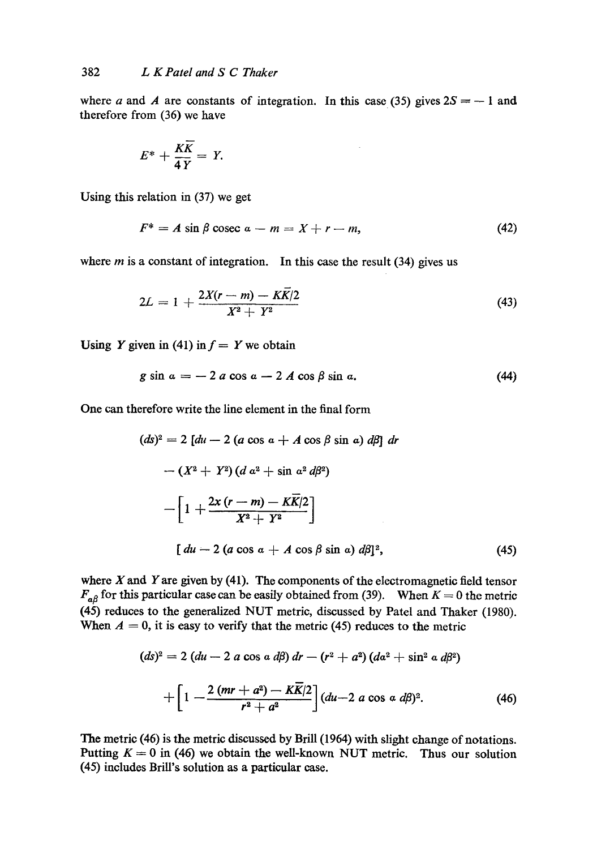where a and A are constants of integration. In this case (35) gives  $2S = -1$  and therefore from (36) we have

$$
E^* + \frac{K\overline{K}}{4Y} = Y.
$$

Using this relation in (37) we get

$$
F^* = A \sin \beta \csc a - m = X + r - m, \tag{42}
$$

where  $m$  is a constant of integration. In this case the result (34) gives us

$$
2L = 1 + \frac{2X(r-m) - K\bar{K}/2}{X^2 + Y^2} \tag{43}
$$

Using Y given in (41) in  $f = Y$  we obtain

$$
g\sin a = -2 a\cos a - 2 A\cos\beta\sin a. \tag{44}
$$

One can therefore write the line element in the final form

$$
(ds)^{2} = 2 [du - 2 (a \cos a + A \cos \beta \sin a) d\beta] dr
$$
  
-  $(X^{2} + Y^{2}) (d a^{2} + \sin a^{2} d\beta^{2})$   
-  $\left[1 + \frac{2x (r - m) - K\overline{K}/2}{X^{2} + Y^{2}}\right]$   

$$
\left[du - 2 (a \cos a + A \cos \beta \sin a) d\beta\right]^{2},
$$
(45)

where  $X$  and  $Y$  are given by (41). The components of the electromagnetic field tensor  $F_{\alpha\beta}$  for this particular case can be easily obtained from (39). When  $K = 0$  the metric (45) reduces to the generalized NUT metric, discussed by Patel and Thaker (1980). When  $A = 0$ , it is easy to verify that the metric (45) reduces to the metric

$$
(ds)^{2} = 2 (du - 2 a \cos a d\beta) dr - (r^{2} + a^{2}) (da^{2} + \sin^{2} a d\beta^{2})
$$

$$
+ \left[1 - \frac{2 (mr + a^{2}) - K\overline{K}/2}{r^{2} + a^{2}}\right] (du - 2 a \cos a d\beta)^{2}.
$$
(46)

The metric (46) is the metric discussed by Brill (1964) with slight change of notations. Putting  $K = 0$  in (46) we obtain the well-known NUT metric. Thus our solution (45) includes BriU's solution as a particular case.